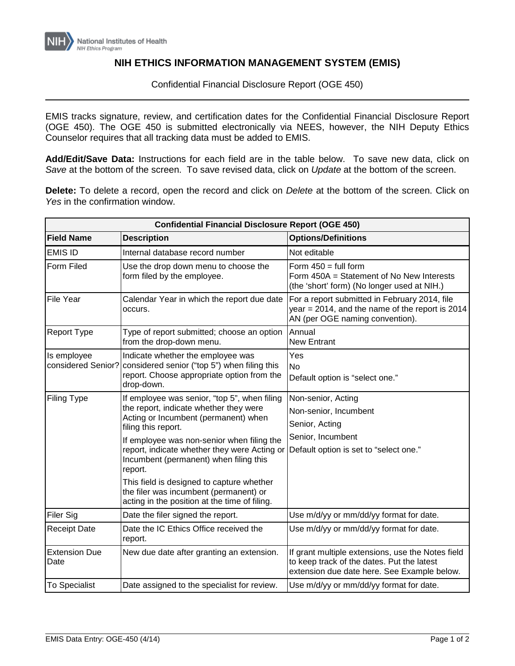## **NIH ETHICS INFORMATION MANAGEMENT SYSTEM (EMIS)**

Confidential Financial Disclosure Report (OGE 450)

EMIS tracks signature, review, and certification dates for the Confidential Financial Disclosure Report (OGE 450). The OGE 450 is submitted electronically via NEES, however, the NIH Deputy Ethics Counselor requires that all tracking data must be added to EMIS.

**Add/Edit/Save Data:** Instructions for each field are in the table below. To save new data, click on *Save* at the bottom of the screen. To save revised data, click on *Update* at the bottom of the screen.

**Delete:** To delete a record, open the record and click on *Delete* at the bottom of the screen. Click on *Yes* in the confirmation window.

| <b>Confidential Financial Disclosure Report (OGE 450)</b> |                                                                                                                                                                                                                                                                                                                                                                                                                                                  |                                                                                                                                                |  |
|-----------------------------------------------------------|--------------------------------------------------------------------------------------------------------------------------------------------------------------------------------------------------------------------------------------------------------------------------------------------------------------------------------------------------------------------------------------------------------------------------------------------------|------------------------------------------------------------------------------------------------------------------------------------------------|--|
| <b>Field Name</b>                                         | <b>Description</b>                                                                                                                                                                                                                                                                                                                                                                                                                               | <b>Options/Definitions</b>                                                                                                                     |  |
| <b>EMIS ID</b>                                            | Internal database record number                                                                                                                                                                                                                                                                                                                                                                                                                  | Not editable                                                                                                                                   |  |
| Form Filed                                                | Use the drop down menu to choose the<br>form filed by the employee.                                                                                                                                                                                                                                                                                                                                                                              | Form $450 = \text{full form}$<br>Form 450A = Statement of No New Interests<br>(the 'short' form) (No longer used at NIH.)                      |  |
| File Year                                                 | Calendar Year in which the report due date<br>occurs.                                                                                                                                                                                                                                                                                                                                                                                            | For a report submitted in February 2014, file<br>year = $2014$ , and the name of the report is $2014$<br>AN (per OGE naming convention).       |  |
| <b>Report Type</b>                                        | Type of report submitted; choose an option<br>from the drop-down menu.                                                                                                                                                                                                                                                                                                                                                                           | Annual<br><b>New Entrant</b>                                                                                                                   |  |
| Is employee<br>considered Senior?                         | Indicate whether the employee was<br>considered senior ("top 5") when filing this<br>report. Choose appropriate option from the<br>drop-down.                                                                                                                                                                                                                                                                                                    | Yes<br><b>No</b><br>Default option is "select one."                                                                                            |  |
| Filing Type                                               | If employee was senior, "top 5", when filing<br>the report, indicate whether they were<br>Acting or Incumbent (permanent) when<br>filing this report.<br>If employee was non-senior when filing the<br>report, indicate whether they were Acting or<br>Incumbent (permanent) when filing this<br>report.<br>This field is designed to capture whether<br>the filer was incumbent (permanent) or<br>acting in the position at the time of filing. | Non-senior, Acting<br>Non-senior, Incumbent<br>Senior, Acting<br>Senior, Incumbent<br>Default option is set to "select one."                   |  |
| Filer Sig                                                 | Date the filer signed the report.                                                                                                                                                                                                                                                                                                                                                                                                                | Use m/d/yy or mm/dd/yy format for date.                                                                                                        |  |
| <b>Receipt Date</b>                                       | Date the IC Ethics Office received the<br>report.                                                                                                                                                                                                                                                                                                                                                                                                | Use m/d/yy or mm/dd/yy format for date.                                                                                                        |  |
| <b>Extension Due</b><br>Date                              | New due date after granting an extension.                                                                                                                                                                                                                                                                                                                                                                                                        | If grant multiple extensions, use the Notes field<br>to keep track of the dates. Put the latest<br>extension due date here. See Example below. |  |
| <b>To Specialist</b>                                      | Date assigned to the specialist for review.                                                                                                                                                                                                                                                                                                                                                                                                      | Use m/d/yy or mm/dd/yy format for date.                                                                                                        |  |